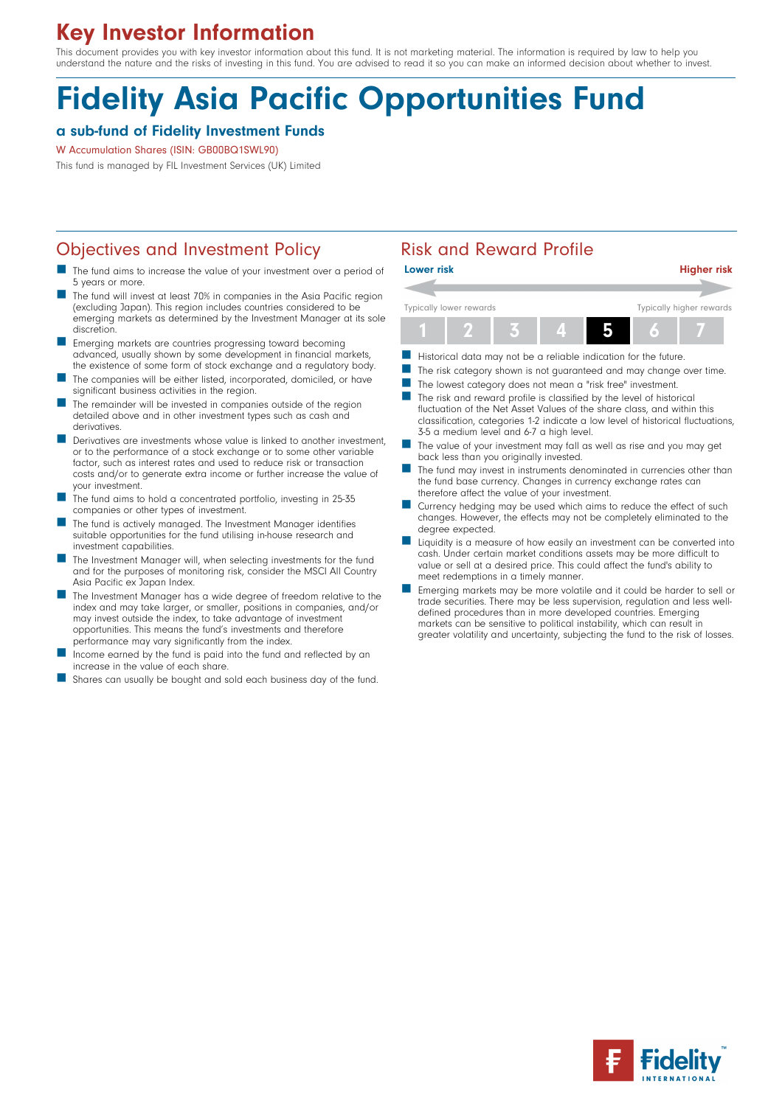# Key Investor Information

This document provides you with key investor information about this fund. It is not marketing material. The information is required by law to help you understand the nature and the risks of investing in this fund. You are advised to read it so you can make an informed decision about whether to invest.

# Fidelity Asia Pacific Opportunities Fund

#### a sub-fund of Fidelity Investment Funds

#### W Accumulation Shares (ISIN: GB00BQ1SWL90)

This fund is managed by FIL Investment Services (UK) Limited

### Objectives and Investment Policy **Risk and Reward Profile**

- The fund aims to increase the value of your investment over a period of 5 years or more.
- The fund will invest at least 70% in companies in the Asia Pacific region (excluding Japan). This region includes countries considered to be emerging markets as determined by the Investment Manager at its sole discretion.
- n Emerging markets are countries progressing toward becoming advanced, usually shown by some development in financial markets, the existence of some form of stock exchange and a regulatory body.
- The companies will be either listed, incorporated, domiciled, or have significant business activities in the region.
- The remainder will be invested in companies outside of the region detailed above and in other investment types such as cash and derivatives.
- Derivatives are investments whose value is linked to another investment, or to the performance of a stock exchange or to some other variable factor, such as interest rates and used to reduce risk or transaction costs and/or to generate extra income or further increase the value of your investment.
- The fund aims to hold a concentrated portfolio, investing in 25-35 companies or other types of investment.
- The fund is actively managed. The Investment Manager identifies suitable opportunities for the fund utilising in-house research and investment capabilities.
- The Investment Manager will, when selecting investments for the fund and for the purposes of monitoring risk, consider the MSCI All Country Asia Pacific ex Japan Index.
- The Investment Manager has a wide degree of freedom relative to the index and may take larger, or smaller, positions in companies, and/or may invest outside the index, to take advantage of investment opportunities. This means the fund's investments and therefore performance may vary significantly from the index.
- Income earned by the fund is paid into the fund and reflected by an increase in the value of each share.
- Shares can usually be bought and sold each business day of the fund.



- $\blacksquare$  Historical data may not be a reliable indication for the future.
- The risk category shown is not guaranteed and may change over time.
- The lowest category does not mean a "risk free" investment.
- $\blacksquare$  The risk and reward profile is classified by the level of historical fluctuation of the Net Asset Values of the share class, and within this classification, categories 1-2 indicate a low level of historical fluctuations, 3-5 a medium level and 6-7 a high level.
- The value of your investment may fall as well as rise and you may get back less than you originally invested.
- The fund may invest in instruments denominated in currencies other than the fund base currency. Changes in currency exchange rates can therefore affect the value of your investment.
- Currency hedging may be used which aims to reduce the effect of such changes. However, the effects may not be completely eliminated to the degree expected.
- n Liquidity is a measure of how easily an investment can be converted into cash. Under certain market conditions assets may be more difficult to value or sell at a desired price. This could affect the fund's ability to meet redemptions in a timely manner.
- n Emerging markets may be more volatile and it could be harder to sell or trade securities. There may be less supervision, regulation and less welldefined procedures than in more developed countries. Emerging markets can be sensitive to political instability, which can result in greater volatility and uncertainty, subjecting the fund to the risk of losses.